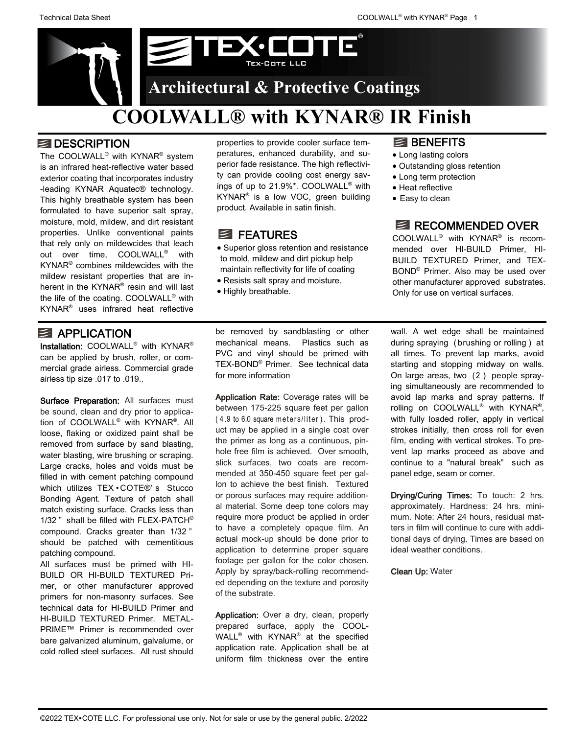

### **DESCRIPTION**

The COOLWALL® with KYNAR® system is an infrared heat-reflective water based exterior coating that incorporates industry -leading KYNAR Aquatec® technology. This highly breathable system has been formulated to have superior salt spray, moisture, mold, mildew, and dirt resistant properties. Unlike conventional paints that rely only on mildewcides that leach out over time, COOLWALL® with KYNAR® combines mildewcides with the mildew resistant properties that are inherent in the KYNAR<sup>®</sup> resin and will last the life of the coating. COOLWALL® with KYNAR® uses infrared heat reflective

### **E** APPLICATION

Installation: COOLWALL<sup>®</sup> with KYNAR<sup>®</sup> can be applied by brush, roller, or commercial grade airless. Commercial grade airless tip size .017 to .019..

Surface Preparation: All surfaces must be sound, clean and dry prior to application of COOLWALL® with KYNAR® . All loose, flaking or oxidized paint shall be removed from surface by sand blasting, water blasting, wire brushing or scraping. Large cracks, holes and voids must be filled in with cement patching compound which utilizes TEX · COTE®' s Stucco Bonding Agent. Texture of patch shall match existing surface. Cracks less than 1/32 " shall be filled with FLEX-PATCH® compound. Cracks greater than 1/32 " should be patched with cementitious patching compound.

All surfaces must be primed with HI-BUILD OR HI-BUILD TEXTURED Primer, or other manufacturer approved primers for non-masonry surfaces. See technical data for HI-BUILD Primer and HI-BUILD TEXTURED Primer. METAL-PRIME™ Primer is recommended over bare galvanized aluminum, galvalume, or cold rolled steel surfaces. All rust should properties to provide cooler surface temperatures, enhanced durability, and superior fade resistance. The high reflectivity can provide cooling cost energy savings of up to 21.9%\*. COOLWALL® with KYNAR® is a low VOC, green building product. Available in satin finish.

## **E** FEATURES

- Superior gloss retention and resistance to mold, mildew and dirt pickup help maintain reflectivity for life of coating
- Resists salt spray and moisture.
- Highly breathable.

## **E** BENEFITS

- Long lasting colors
- Outstanding gloss retention
- Long term protection
- Heat reflective
- Easy to clean

# RECOMMENDED OVER

COOLWALL® with KYNAR® is recommended over HI-BUILD Primer, HI-BUILD TEXTURED Primer, and TEX-BOND® Primer. Also may be used over other manufacturer approved substrates. Only for use on vertical surfaces.

be removed by sandblasting or other mechanical means. Plastics such as PVC and vinyl should be primed with TEX-BOND® Primer. See technical data for more information

Application Rate: Coverage rates will be between 175-225 square feet per gallon (4.9 to 6.0 square meters/liter). This product may be applied in a single coat over the primer as long as a continuous, pinhole free film is achieved. Over smooth, slick surfaces, two coats are recommended at 350-450 square feet per gallon to achieve the best finish. Textured or porous surfaces may require additional material. Some deep tone colors may require more product be applied in order to have a completely opaque film. An actual mock-up should be done prior to application to determine proper square footage per gallon for the color chosen. Apply by spray/back-rolling recommended depending on the texture and porosity of the substrate.

Application: Over a dry, clean, properly prepared surface, apply the COOL-WALL® with KYNAR® at the specified application rate. Application shall be at uniform film thickness over the entire

wall. A wet edge shall be maintained during spraying ( brushing or rolling ) at all times. To prevent lap marks, avoid starting and stopping midway on walls. On large areas, two (2) people spraying simultaneously are recommended to avoid lap marks and spray patterns. If rolling on COOLWALL<sup>®</sup> with KYNAR<sup>®</sup>, with fully loaded roller, apply in vertical strokes initially, then cross roll for even film, ending with vertical strokes. To prevent lap marks proceed as above and continue to a "natural break" such as panel edge, seam or corner.

Drying/Curing Times: To touch: 2 hrs. approximately. Hardness: 24 hrs. minimum. Note: After 24 hours, residual matters in film will continue to cure with additional days of drying. Times are based on ideal weather conditions.

Clean Up: Water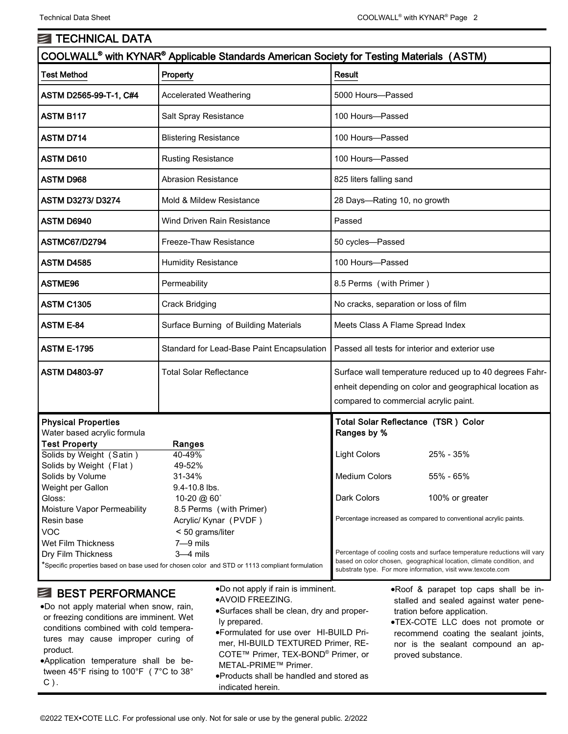| <b>ENTECHNICAL DATA</b>                                                                                                                  |                                                                                                                                                                           |                                                                                                                                                                                                                                                                                     |
|------------------------------------------------------------------------------------------------------------------------------------------|---------------------------------------------------------------------------------------------------------------------------------------------------------------------------|-------------------------------------------------------------------------------------------------------------------------------------------------------------------------------------------------------------------------------------------------------------------------------------|
| COOLWALL <sup>®</sup> with KYNAR <sup>®</sup> Applicable Standards American Society for Testing Materials (ASTM)                         |                                                                                                                                                                           |                                                                                                                                                                                                                                                                                     |
| <b>Test Method</b>                                                                                                                       | Property                                                                                                                                                                  | <b>Result</b>                                                                                                                                                                                                                                                                       |
| ASTM D2565-99-T-1, C#4                                                                                                                   | <b>Accelerated Weathering</b>                                                                                                                                             | 5000 Hours-Passed                                                                                                                                                                                                                                                                   |
| <b>ASTM B117</b>                                                                                                                         | Salt Spray Resistance                                                                                                                                                     | 100 Hours-Passed                                                                                                                                                                                                                                                                    |
| <b>ASTM D714</b>                                                                                                                         | <b>Blistering Resistance</b>                                                                                                                                              | 100 Hours-Passed                                                                                                                                                                                                                                                                    |
| <b>ASTM D610</b>                                                                                                                         | <b>Rusting Resistance</b>                                                                                                                                                 | 100 Hours-Passed                                                                                                                                                                                                                                                                    |
| <b>ASTM D968</b>                                                                                                                         | <b>Abrasion Resistance</b>                                                                                                                                                | 825 liters falling sand                                                                                                                                                                                                                                                             |
| <b>ASTM D3273/D3274</b>                                                                                                                  | Mold & Mildew Resistance                                                                                                                                                  | 28 Days-Rating 10, no growth                                                                                                                                                                                                                                                        |
| ASTM D6940                                                                                                                               | <b>Wind Driven Rain Resistance</b>                                                                                                                                        | Passed                                                                                                                                                                                                                                                                              |
| <b>ASTMC67/D2794</b>                                                                                                                     | Freeze-Thaw Resistance                                                                                                                                                    | 50 cycles-Passed                                                                                                                                                                                                                                                                    |
| <b>ASTM D4585</b>                                                                                                                        | <b>Humidity Resistance</b>                                                                                                                                                | 100 Hours-Passed                                                                                                                                                                                                                                                                    |
| ASTME96                                                                                                                                  | Permeability                                                                                                                                                              | 8.5 Perms (with Primer)                                                                                                                                                                                                                                                             |
| <b>ASTM C1305</b>                                                                                                                        | <b>Crack Bridging</b>                                                                                                                                                     | No cracks, separation or loss of film                                                                                                                                                                                                                                               |
| <b>ASTM E-84</b>                                                                                                                         | Surface Burning of Building Materials                                                                                                                                     | Meets Class A Flame Spread Index                                                                                                                                                                                                                                                    |
| <b>ASTM E-1795</b>                                                                                                                       | Standard for Lead-Base Paint Encapsulation                                                                                                                                | Passed all tests for interior and exterior use                                                                                                                                                                                                                                      |
| <b>ASTM D4803-97</b>                                                                                                                     | <b>Total Solar Reflectance</b>                                                                                                                                            | Surface wall temperature reduced up to 40 degrees Fahr-<br>enheit depending on color and geographical location as<br>compared to commercial acrylic paint.                                                                                                                          |
| <b>Physical Properties</b><br>Water based acrylic formula<br><b>Test Property</b><br>Solids by Weight (Satin)<br>Solids by Weight (Flat) | Ranges<br>40-49%<br>49-52%                                                                                                                                                | Total Solar Reflectance (TSR) Color<br>Ranges by %<br>25% - 35%<br><b>Light Colors</b>                                                                                                                                                                                              |
| Solids by Volume<br>Weight per Gallon<br>Gloss:<br>Moisture Vapor Permeability                                                           | 31-34%<br>9.4-10.8 lbs.<br>10-20 @ 60°<br>8.5 Perms (with Primer)                                                                                                         | Medium Colors<br>55% - 65%<br>100% or greater<br>Dark Colors                                                                                                                                                                                                                        |
| Resin base<br><b>VOC</b><br><b>Wet Film Thickness</b><br>Dry Film Thickness                                                              | Acrylic/ Kynar (PVDF)<br>< 50 grams/liter<br>$7 - 9$ mils<br>$3-4$ mils<br>*Specific properties based on base used for chosen color and STD or 1113 compliant formulation | Percentage increased as compared to conventional acrylic paints.<br>Percentage of cooling costs and surface temperature reductions will vary<br>based on color chosen, geographical location, climate condition, and<br>substrate type. For more information, visit www.texcote.com |

### **BEST PERFORMANCE**

- •Do not apply material when snow, rain, or freezing conditions are imminent. Wet conditions combined with cold temperatures may cause improper curing of product.
- •Application temperature shall be between 45°F rising to 100°F ( 7°C to 38°  $C$ ).

•Do not apply if rain is imminent.

- •AVOID FREEZING.
- •Surfaces shall be clean, dry and properly prepared.
- •Formulated for use over HI-BUILD Primer, HI-BUILD TEXTURED Primer, RE-COTE™ Primer, TEX-BOND® Primer, or METAL-PRIME™ Primer.
- •Products shall be handled and stored as indicated herein.

•Roof & parapet top caps shall be installed and sealed against water penetration before application.

•TEX-COTE LLC does not promote or recommend coating the sealant joints, nor is the sealant compound an approved substance.